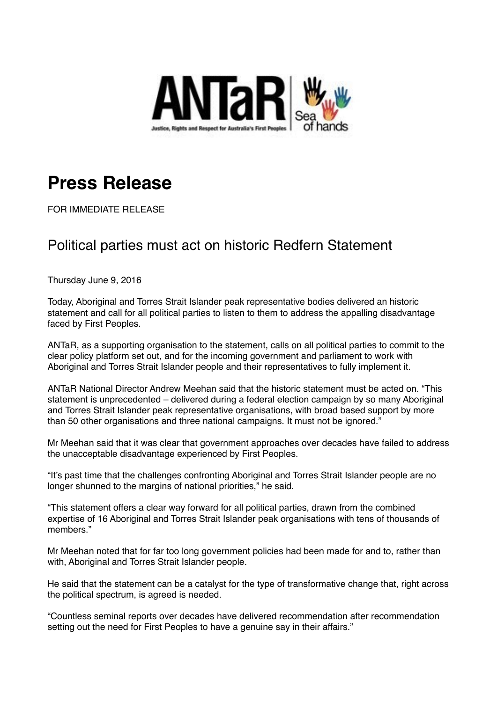

## **Press Release**

FOR IMMEDIATE RELEASE

## Political parties must act on historic Redfern Statement

Thursday June 9, 2016

Today, Aboriginal and Torres Strait Islander peak representative bodies delivered an historic statement and call for all political parties to listen to them to address the appalling disadvantage faced by First Peoples.

ANTaR, as a supporting organisation to the statement, calls on all political parties to commit to the clear policy platform set out, and for the incoming government and parliament to work with Aboriginal and Torres Strait Islander people and their representatives to fully implement it.

ANTaR National Director Andrew Meehan said that the historic statement must be acted on. "This statement is unprecedented – delivered during a federal election campaign by so many Aboriginal and Torres Strait Islander peak representative organisations, with broad based support by more than 50 other organisations and three national campaigns. It must not be ignored."

Mr Meehan said that it was clear that government approaches over decades have failed to address the unacceptable disadvantage experienced by First Peoples.

"It's past time that the challenges confronting Aboriginal and Torres Strait Islander people are no longer shunned to the margins of national priorities," he said.

"This statement offers a clear way forward for all political parties, drawn from the combined expertise of 16 Aboriginal and Torres Strait Islander peak organisations with tens of thousands of members."

Mr Meehan noted that for far too long government policies had been made for and to, rather than with, Aboriginal and Torres Strait Islander people.

He said that the statement can be a catalyst for the type of transformative change that, right across the political spectrum, is agreed is needed.

"Countless seminal reports over decades have delivered recommendation after recommendation setting out the need for First Peoples to have a genuine say in their affairs."